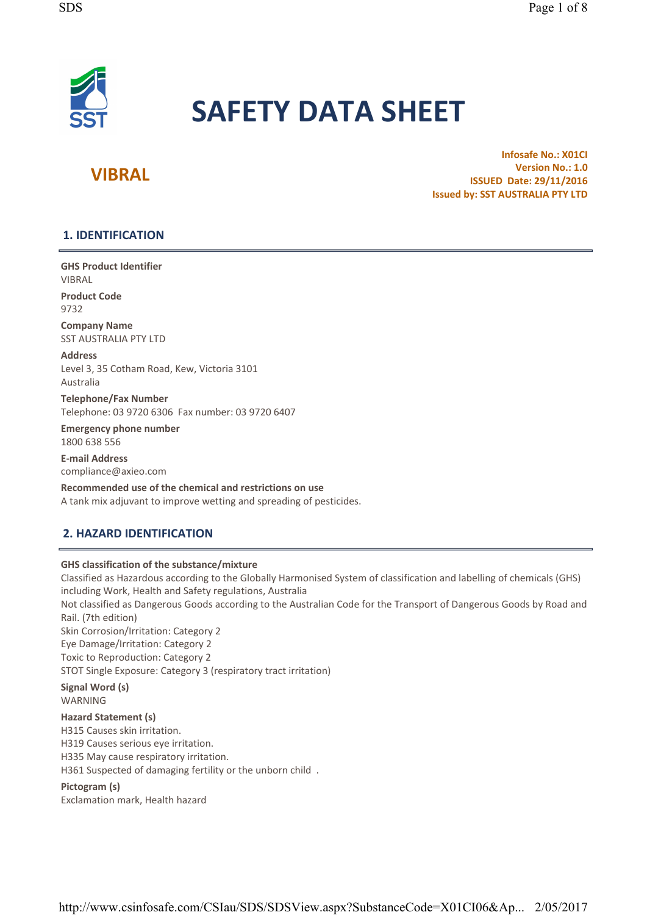

# SAFETY DATA SHEET

# VIBRAL

Infosafe No.: X01Cl Version No.: 1.0 ISSUED Date: 29/11/2016 Issued by: SST AUSTRALIA PTY LTD

# 1. IDENTIFICATION

GHS Product Identifier VIBRAL

Product Code 9732

Company Name SST AUSTRALIA PTY LTD

Address Level 3, 35 Cotham Road, Kew, Victoria 3101 Australia

Telephone/Fax Number Telephone: 03 9720 6306 Fax number: 03 9720 6407

Emergency phone number 1800 638 556

E- mail Address compliance@axieo. com

Recommended use of the chemical and restrictions on use A tank mix adjuvant to improve wetting and spreading of pesticides.

# 2. HAZARD IDENTIFICATION

# GHS classification of the substance/mixture

Classified as Hazardous according to the Globally Harmonised System of classification and labelling of chemicals (GHS) including Work, Health and Safety regulations, Australia Not classified as Dangerous Goods according to the Australian Code for the Transport of Dangerous Goods by Road and Rail. (7th edition) Skin Corrosion/Irritation: Category 2 Eye Damage/Irritation: Category 2 Toxic to Reproduction: Category 2 STOT Single Exposure: Category 3 (respiratory tract irritation) Signal Word (s) WARNING Hazard Statement (s) H315 Causes skin irritation. H319 Causes serious eye irritation. H335 May cause respiratory irritation. H361 Suspected of damaging fertility or the unborn child .

### Pictogram (s)

Exclamation mark, Health hazard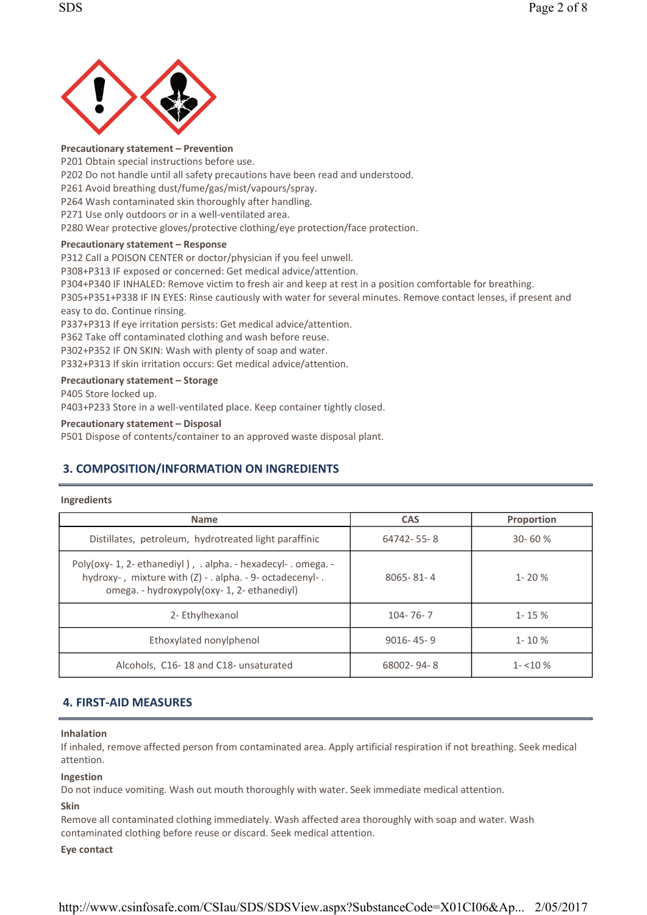

#### Precautionary statement – Prevention

P201 Obtain special instructions before use. P202 Do not handle until all safety precautions have been read and understood. P261 Avoid breathing dust/fume/gas/mist/vapours/spray. P264 Wash contaminated skin thoroughly after handling. P271 Use only outdoors or in a well-ventilated area. P280 Wear protective gloves/protective clothing/eye protection/face protection.

### Precautionary statement – Response

P312 Call a POISON CENTER or doctor/physician if you feel unwell.

P308+P313 IF exposed or concerned: Get medical advice/attention.

P304+P340 IF INHALED: Remove victim to fresh air and keep at rest in a position comfortable for breathing.

P305+P351+P338 IF IN EYES: Rinse cautiously with water for several minutes. Remove contact lenses, if present and easy to do. Continue rinsing.

P337+P313 If eye irritation persists: Get medical advice/attention.

P362 Take off contaminated clothing and wash before reuse.

P302+P352 IF ON SKIN: Wash with plenty of soap and water.

P332+P313 If skin irritation occurs: Get medical advice/attention.

### Precautionary statement – Storage

P405 Store locked up.

P403+P233 Store in a well-ventilated place. Keep container tightly closed.

### Precautionary statement – Disposal

P501 Dispose of contents/container to an approved waste disposal plant.

# 3. COMPOSITION/INFORMATION ON INGREDIENTS

### Ingredients

| <b>Name</b>                                                                                                                                                              | <b>CAS</b>      | <b>Proportion</b> |
|--------------------------------------------------------------------------------------------------------------------------------------------------------------------------|-----------------|-------------------|
| Distillates, petroleum, hydrotreated light paraffinic                                                                                                                    | 64742-55-8      | $30 - 60%$        |
| Poly(oxy- 1, 2- ethanediyl), . alpha. - hexadecyl- . omega. -<br>hydroxy-, mixture with (Z) - . alpha. - 9- octadecenyl-.<br>omega. - hydroxypoly(oxy- 1, 2- ethanediyl) | $8065 - 81 - 4$ | $1 - 20%$         |
| 2- Ethylhexanol                                                                                                                                                          | $104 - 76 - 7$  | $1 - 15%$         |
| Ethoxylated nonylphenol                                                                                                                                                  | $9016 - 45 - 9$ | $1 - 10\%$        |
| Alcohols, C16-18 and C18- unsaturated                                                                                                                                    | 68002-94-8      | $1 - 10\%$        |

# **4. FIRST-AID MEASURES**

### Inhalation

If inhaled, remove affected person from contaminated area. Apply artificial respiration if not breathing. Seek medical attention.

### Ingestion

Do not induce vomiting. Wash out mouth thoroughly with water. Seek immediate medical attention.

### Skin

Remove all contaminated clothing immediately. Wash affected area thoroughly with soap and water. Wash contaminated clothing before reuse or discard. Seek medical attention.

### Eye contact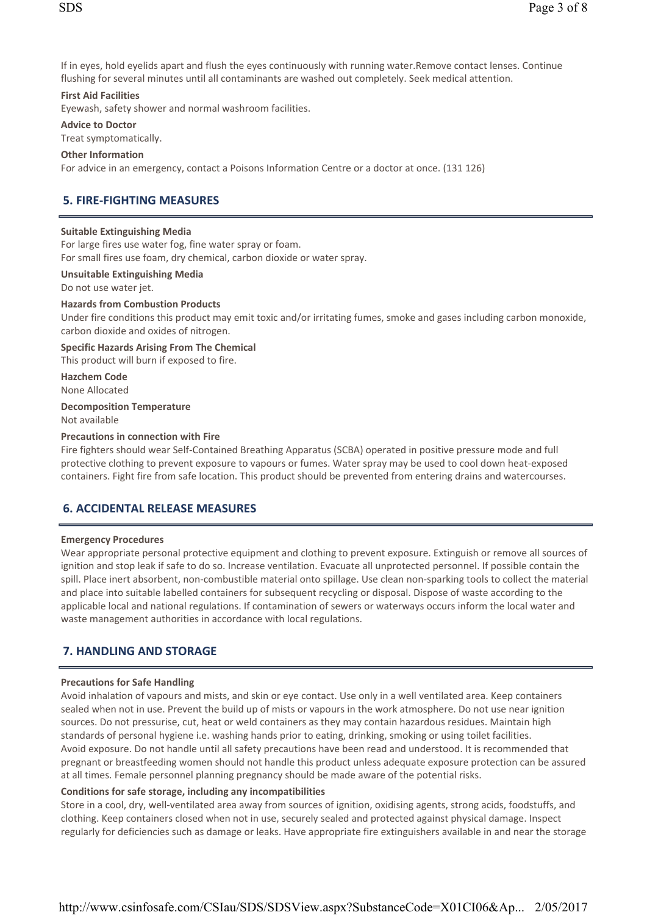If in eyes, hold eyelids apart and flush the eyes continuously with running water. Remove contact lenses. Continue flushing for several minutes until all contaminants are washed out completely. Seek medical attention.

### First Aid Facilities

Eyewash, safety shower and normal washroom facilities.

Advice to Doctor

Treat symptomatically.

### Other Information

For advice in an emergency, contact a Poisons Information Centre or a doctor at once. (131 126)

# 5. FIRE- FIGHTING MEASURES

### Suitable Extinguishing Media

For large fires use water fog, fine water spray or foam. For small fires use foam, dry chemical, carbon dioxide or water spray.

### Unsuitable Extinguishing Media

Do not use water jet.

### Hazards from Combustion Products

Under fire conditions this product may emit toxic and/or irritating fumes, smoke and gases including carbon monoxide, carbon dioxide and oxides of nitrogen.

# Specific Hazards Arising From The Chemical

This product will burn if exposed to fire.

Hazchem Code None Allocated

Decomposition Temperature

Not available

### Precautions in connection with Fire

Fire fighters should wear Self-Contained Breathing Apparatus (SCBA) operated in positive pressure mode and full protective clothing to prevent exposure to vapours or fumes. Water spray may be used to cool down heat-exposed containers. Fight fire from safe location. This product should be prevented from entering drains and watercourses.

# 6. ACCIDENTAL RELEASE MEASURES

### Emergency Procedures

Wear appropriate personal protective equipment and clothing to prevent exposure. Extinguish or remove all sources of ignition and stop leak if safe to do so. Increase ventilation. Evacuate all unprotected personnel. If possible contain the spill. Place inert absorbent, non-combustible material onto spillage. Use clean non-sparking tools to collect the material and place into suitable labelled containers for subsequent recycling or disposal. Dispose of waste according to the applicable local and national regulations. If contamination of sewers or waterways occurs inform the local water and waste management authorities in accordance with local regulations.

# 7. HANDLING AND STORAGE

### Precautions for Safe Handling

Avoid inhalation of vapours and mists, and skin or eye contact. Use only in a well ventilated area. Keep containers sealed when not in use. Prevent the build up of mists or vapours in the work atmosphere. Do not use near ignition sources. Do not pressurise, cut, heat or weld containers as they may contain hazardous residues. Maintain high standards of personal hygiene i.e. washing hands prior to eating, drinking, smoking or using toilet facilities. Avoid exposure. Do not handle until all safety precautions have been read and understood. It is recommended that pregnant or breastfeeding women should not handle this product unless adequate exposure protection can be assured at all times. Female personnel planning pregnancy should be made aware of the potential risks.

### Conditions for safe storage, including any incompatibilities

Store in a cool, dry, well-ventilated area away from sources of ignition, oxidising agents, strong acids, foodstuffs, and clothing. Keep containers closed when not in use, securely sealed and protected against physical damage. Inspect regularly for deficiencies such as damage or leaks. Have appropriate fire extinguishers available in and near the storage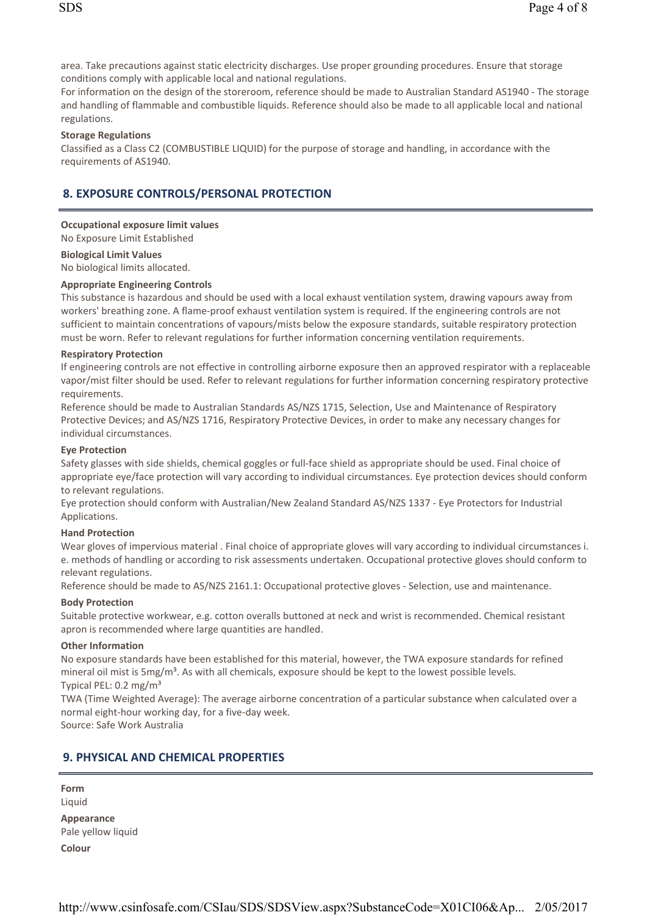area. Take precautions against static electricity discharges. Use proper grounding procedures. Ensure that storage conditions comply with applicable local and national regulations.

For information on the design of the storeroom, reference should be made to Australian Standard AS1940 - The storage and handling of flammable and combustible liquids. Reference should also be made to all applicable local and national regulations.

### Storage Regulations

Classified as a Class C2 (COMBUSTIBLE LIQUID) for the purpose of storage and handling, in accordance with the requirements of AS1940.

# 8. EXPOSURE CONTROLS/PERSONAL PROTECTION

### Occupational exposure limit values

No Exposure Limit Established

### Biological Limit Values

No biological limits allocated.

### Appropriate Engineering Controls

This substance is hazardous and should be used with a local exhaust ventilation system, drawing vapours away from workers' breathing zone. A flame-proof exhaust ventilation system is required. If the engineering controls are not sufficient to maintain concentrations of vapours/mists below the exposure standards, suitable respiratory protection must be worn. Refer to relevant regulations for further information concerning ventilation requirements.

### Respiratory Protection

If engineering controls are not effective in controlling airborne exposure then an approved respirator with a replaceable vapor/mist filter should be used. Refer to relevant regulations for further information concerning respiratory protective requirements.

Reference should be made to Australian Standards AS/NZS 1715, Selection, Use and Maintenance of Respiratory Protective Devices; and AS/NZS 1716, Respiratory Protective Devices, in order to make any necessary changes for individual circumstances.

### Eye Protection

Safety glasses with side shields, chemical goggles or full-face shield as appropriate should be used. Final choice of appropriate eye/face protection will vary according to individual circumstances. Eye protection devices should conform to relevant regulations.

Eye protection should conform with Australian/New Zealand Standard AS/NZS 1337 - Eye Protectors for Industrial Applications.

### Hand Protection

Wear gloves of impervious material . Final choice of appropriate gloves will vary according to individual circumstances i. e. methods of handling or according to risk assessments undertaken. Occupational protective gloves should conform to relevant regulations.

Reference should be made to AS/NZS 2161.1: Occupational protective gloves - Selection, use and maintenance.

### Body Protection

Suitable protective workwear, e.g. cotton overalls buttoned at neck and wrist is recommended. Chemical resistant apron is recommended where large quantities are handled.

### Other Information

No exposure standards have been established for this material, however, the TWA exposure standards for refined mineral oil mist is  $5mg/m<sup>3</sup>$ . As with all chemicals, exposure should be kept to the lowest possible levels. Typical PEL:  $0.2 \text{ mg/m}^3$ 

TWA (Time Weighted Average): The average airborne concentration of a particular substance when calculated over a normal eight-hour working day, for a five-day week.

Source: Safe Work Australia

# 9. PHYSICAL AND CHEMICAL PROPERTIES

Form Liquid Appearance

Pale yellow liquid Colour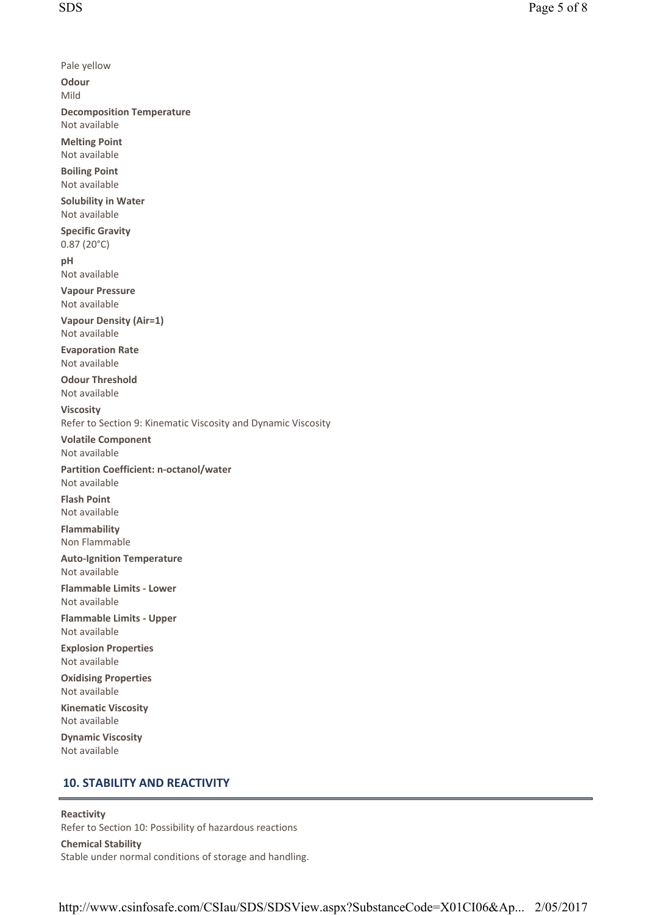Pale yellow **Odour** Mild Decomposition Temperature Not available Melting Point Not available Boiling Point Not available Solubility in Water Not available Specific Gravity  $0.87(20°C)$ pH Not available Vapour Pressure Not available Vapour Density (Air=1) Not available Evaporation Rate Not available Odour Threshold Not available Viscosity Refer to Section 9: Kinematic Viscosity and Dynamic Viscosity Volatile Component Not available Partition Coefficient: n- octanol/water Not available **Flash Point** Not available Flammability Non Flammable **Auto-Ignition Temperature** Not available Flammable Limits - Lower Not available Flammable Limits - Upper Not available Explosion Properties Not available Oxidising Properties Not available Kinematic Viscosity Not available Dynamic Viscosity Not available

# 10. STABILITY AND REACTIVITY

### Reactivity

Refer to Section 10: Possibility of hazardous reactions Chemical Stability Stable under normal conditions of storage and handling.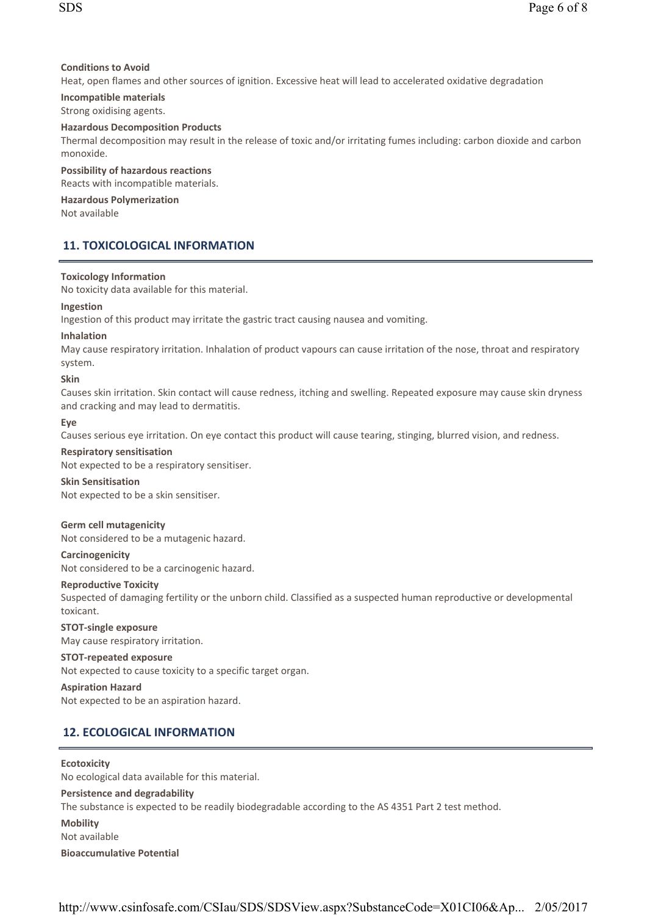### Conditions to Avoid

Heat, open flames and other sources of ignition. Excessive heat will lead to accelerated oxidative degradation

### Incompatible materials

Strong oxidising agents.

### Hazardous Decomposition Products

Thermal decomposition may result in the release of toxic and/or irritating fumes including: carbon dioxide and carbon monoxide.

### Possibility of hazardous reactions

Reacts with incompatible materials.

### Hazardous Polymerization

Not available

# 11. TOXICOLOGICAL INFORMATION

### Toxicology Information

No toxicity data available for this material.

### Ingestion

Ingestion of this product may irritate the gastric tract causing nausea and vomiting.

### Inhalation

May cause respiratory irritation. Inhalation of product vapours can cause irritation of the nose, throat and respiratory system.

### Skin

Causes skin irritation. Skin contact will cause redness, itching and swelling. Repeated exposure may cause skin dryness and cracking and may lead to dermatitis.

### Eye

Causes serious eye irritation. On eye contact this product will cause tearing, stinging, blurred vision, and redness.

# Respiratory sensitisation

Not expected to be a respiratory sensitiser.

### Skin Sensitisation

Not expected to be a skin sensitiser.

### Germ cell mutagenicity

Not considered to be a mutagenic hazard.

### Carcinogenicity

Not considered to be a carcinogenic hazard.

### Reproductive Toxicity

Suspected of damaging fertility or the unborn child. Classified as a suspected human reproductive or developmental toxicant.

### STOT-single exposure May cause respiratory irritation.

### STOT-repeated exposure

Not expected to cause toxicity to a specific target organ.

### Aspiration Hazard Not expected to be an aspiration hazard.

# 12. ECOLOGICAL INFORMATION

### **Ecotoxicity**

No ecological data available for this material. Persistence and degradability The substance is expected to be readily biodegradable according to the AS 4351 Part 2 test method. **Mobility** Not available Bioaccumulative Potential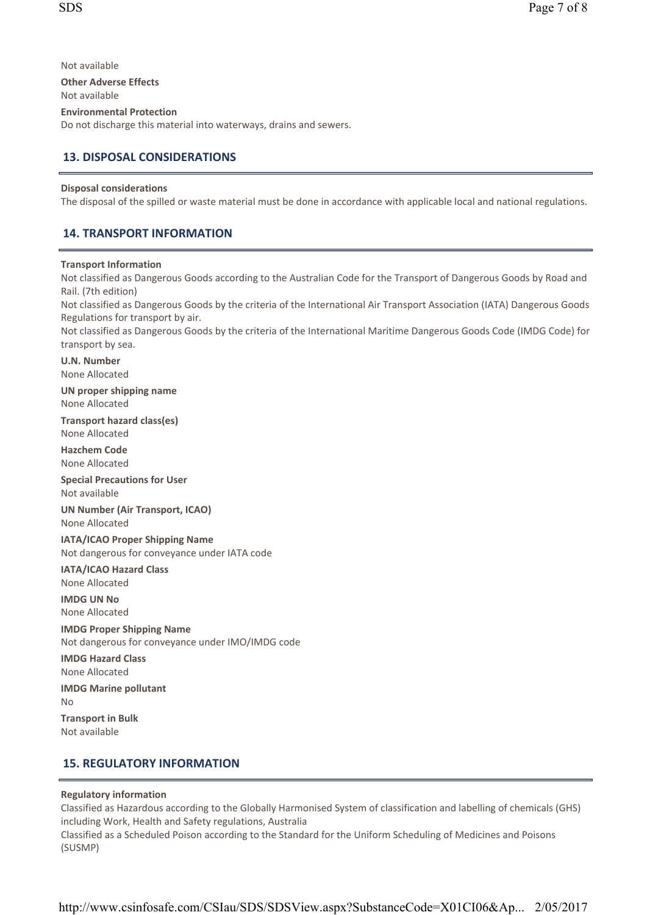Not available **Other Adverse Effects** Not available Environmental Protection Do not discharge this material into waterways, drains and sewers.

# 13. DISPOSAL CONSIDERATIONS

### Disposal considerations

The disposal of the spilled or waste material must be done in accordance with applicable local and national regulations.

# 14. TRANSPORT INFORMATION

### Transport Information

Not classified as Dangerous Goods according to the Australian Code for the Transport of Dangerous Goods by Road and Rail. (7th edition)

Not classified as Dangerous Goods by the criteria of the International Air Transport Association (IATA) Dangerous Goods Regulations for transport by air.

Not classified as Dangerous Goods by the criteria of the International Maritime Dangerous Goods Code (IMDG Code) for transport by sea.

U. N. Number None Allocated

UN proper shipping name None Allocated

Transport hazard class(es) None Allocated

Hazchem Code None Allocated

Special Precautions for User Not available

UN Number (Air Transport, ICAO) None Allocated

IATA/ICAO Proper Shipping Name Not dangerous for conveyance under IATA code

IATA/ICAO Hazard Class None Allocated

IMDG UN No None Allocated

IMDG Proper Shipping Name Not dangerous for conveyance under IMO/IMDG code IMDG Hazard Class

None Allocated

IMDG Marine pollutant No Transport in Bulk

Not available

# 15. REGULATORY INFORMATION

### Regulatory information

Classified as Hazardous according to the Globally Harmonised System of classification and labelling of chemicals (GHS) including Work, Health and Safety regulations, Australia Classified as a Scheduled Poison according to the Standard for the Uniform Scheduling of Medicines and Poisons (SUSMP)